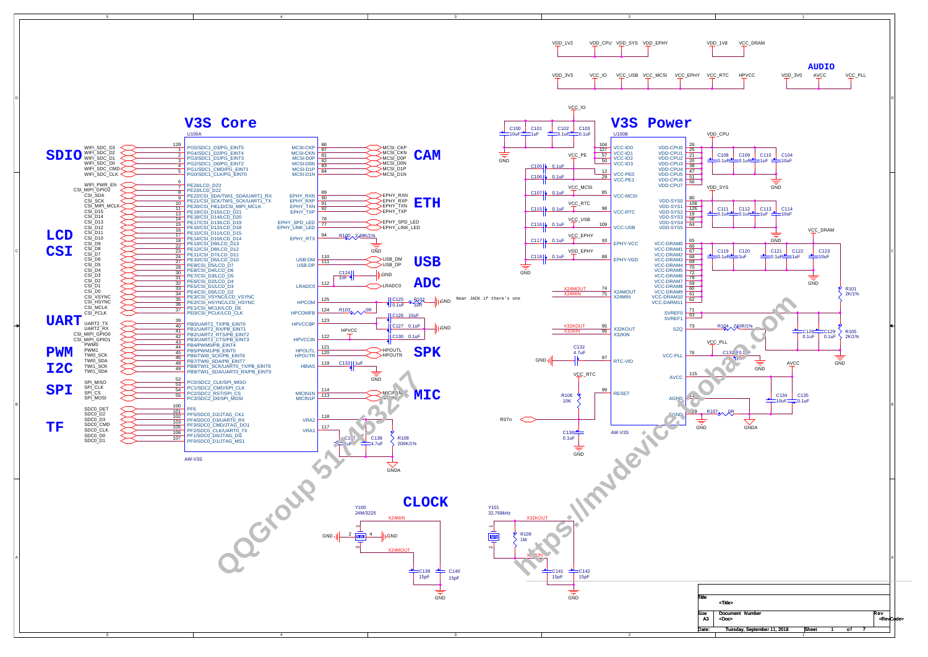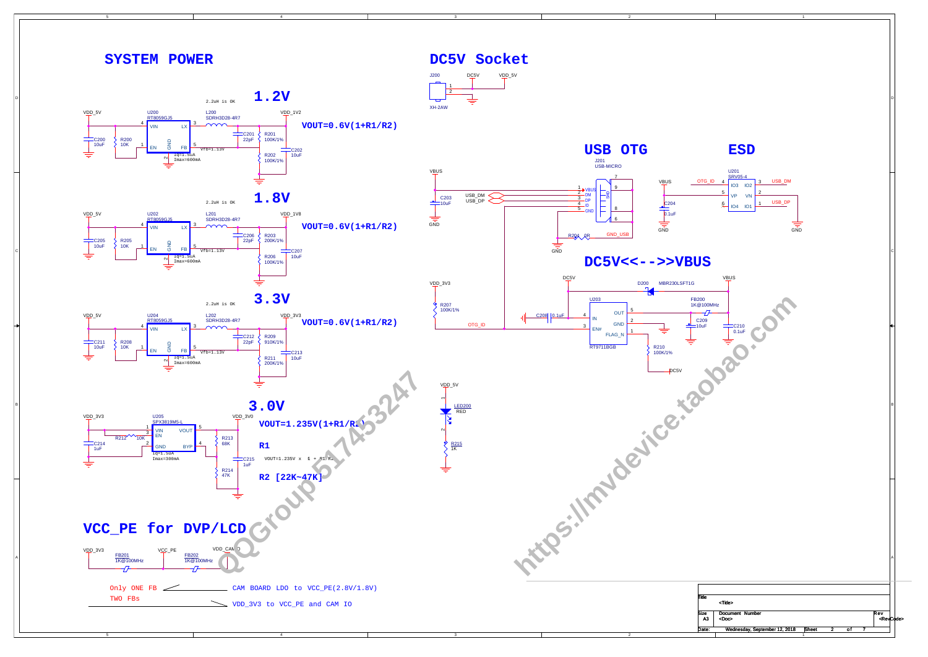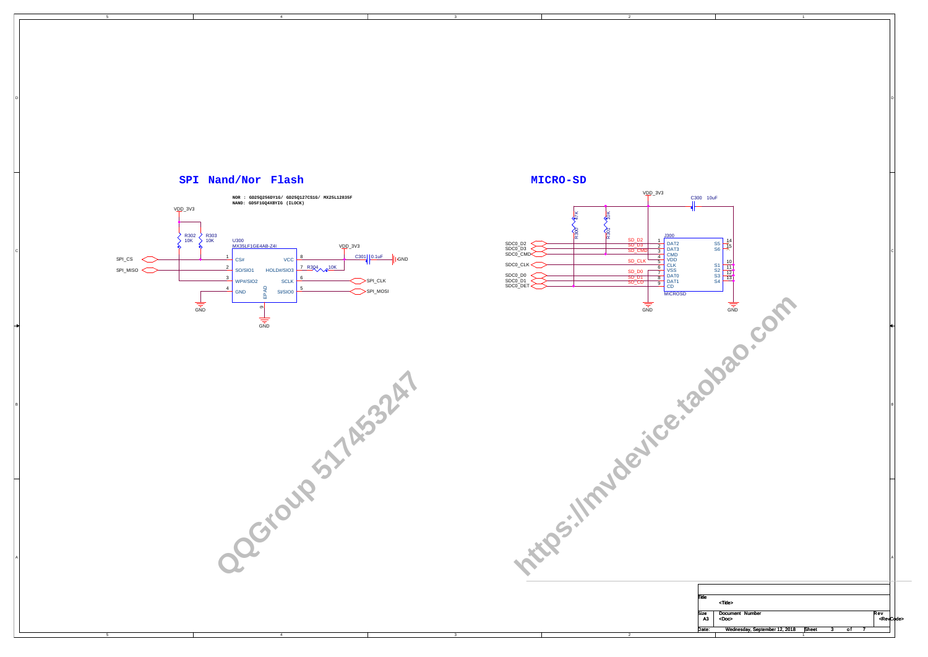5

5



4

4

3

3



**QQGroup 517 AF33247** 

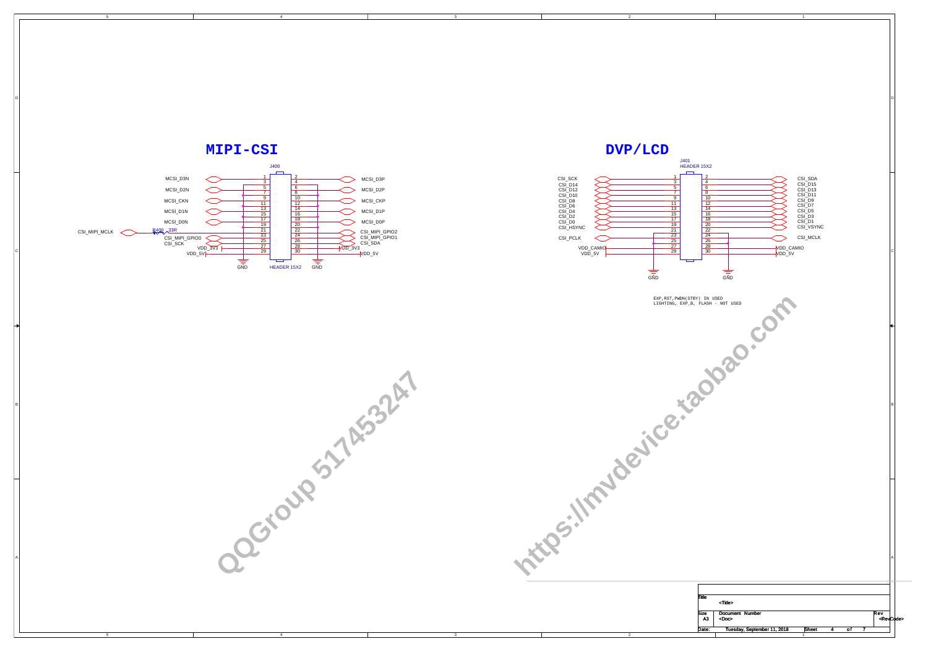5

5

4

4

3

3





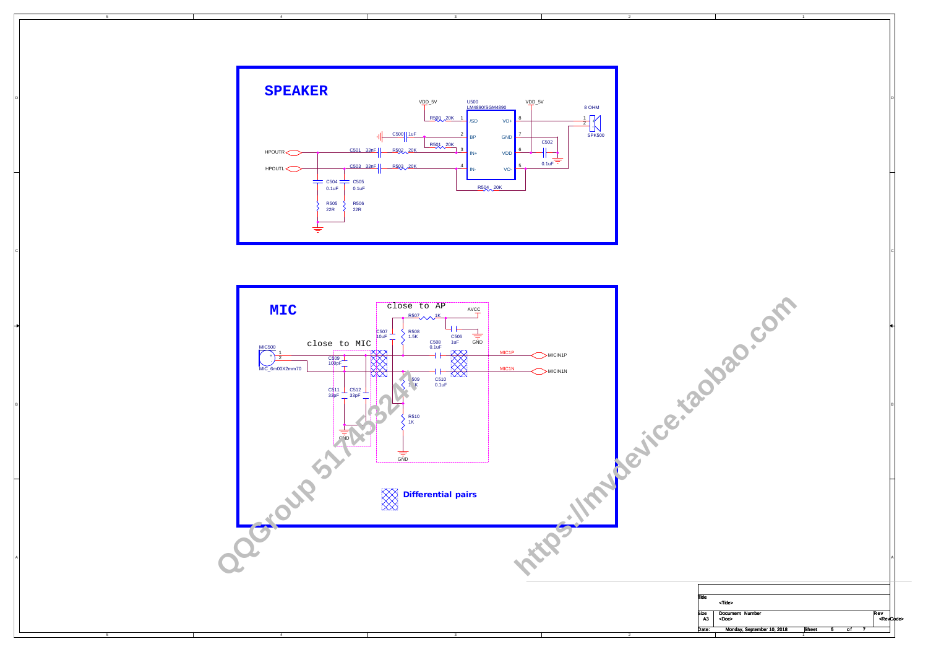5

5

4

4

3

3

2

2

|            |                             | $\mathbf{1}$ |                |                |     |                     |
|------------|-----------------------------|--------------|----------------|----------------|-----|---------------------|
|            |                             |              |                |                |     | D                   |
|            |                             |              |                |                |     |                     |
|            |                             |              |                |                |     | $\mathsf{C}$        |
|            | P.Com<br>Not                |              |                |                |     |                     |
|            |                             |              |                |                |     | B                   |
|            |                             |              |                |                |     |                     |
|            |                             |              |                |                |     | Α                   |
| Title      | <title></title>             |              |                |                |     |                     |
| Size<br>A3 | Document Number<br>$<$ Doc> |              |                |                | Rev | <revcode></revcode> |
| Date:      | Monday, September 10, 2018  | Sheet<br>1   | $\overline{5}$ | 7<br><u>of</u> |     |                     |



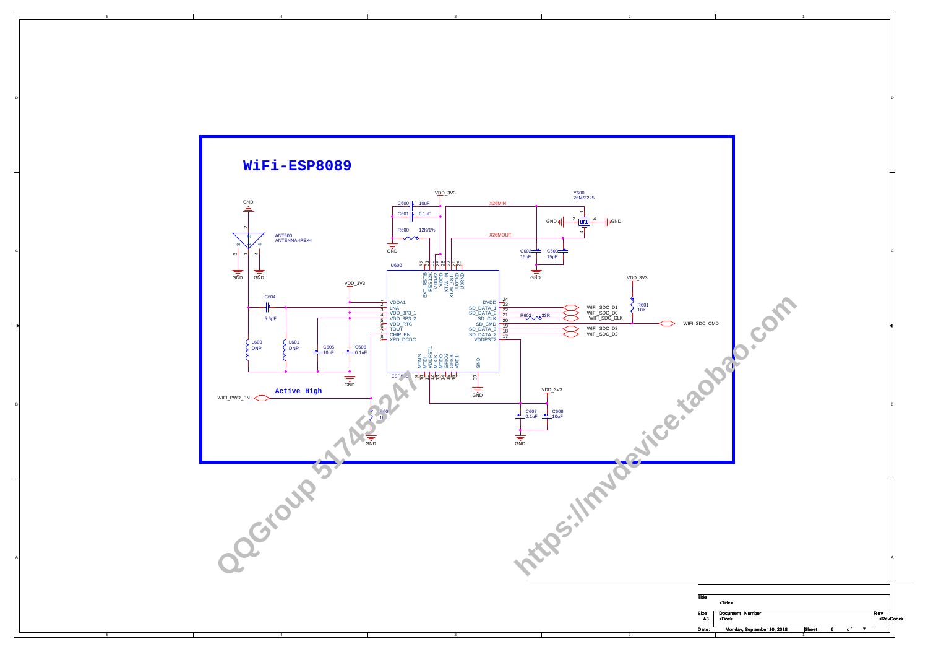